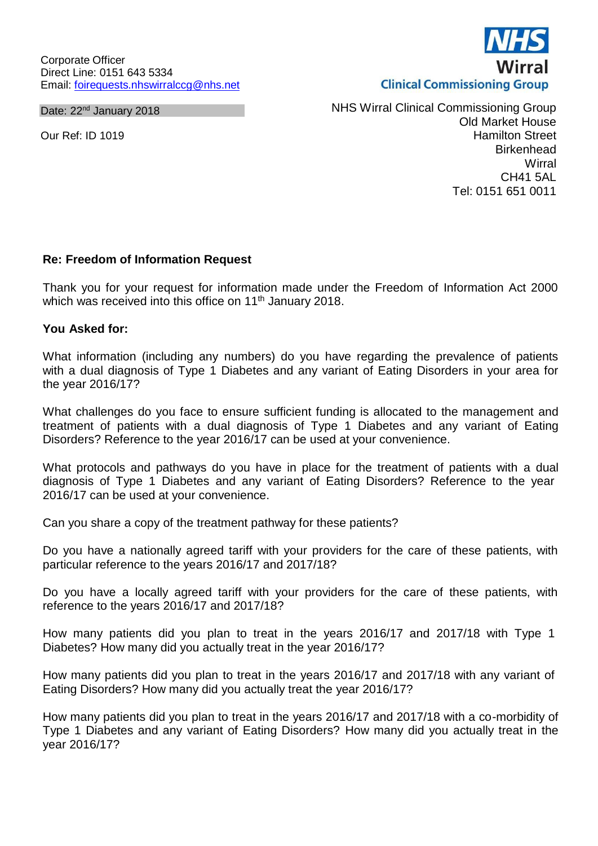Corporate Officer Direct Line: 0151 643 5334 Email: [foirequests.nhswirralccg@nhs.net](mailto:foirequests.nhswirralccg@nhs.net)

Date: 22<sup>nd</sup> January 2018

Our Ref: ID 1019

NHS Wirral Clinical Commissioning Group Old Market House Hamilton Street **Birkenhead Wirral** CH41 5AL Tel: 0151 651 0011

# **Re: Freedom of Information Request**

Thank you for your request for information made under the Freedom of Information Act 2000 which was received into this office on 11<sup>th</sup> January 2018.

## **You Asked for:**

What information (including any numbers) do you have regarding the prevalence of patients with a dual diagnosis of Type 1 Diabetes and any variant of Eating Disorders in your area for the year 2016/17?

What challenges do you face to ensure sufficient funding is allocated to the management and treatment of patients with a dual diagnosis of Type 1 Diabetes and any variant of Eating Disorders? Reference to the year 2016/17 can be used at your convenience.

What protocols and pathways do you have in place for the treatment of patients with a dual diagnosis of Type 1 Diabetes and any variant of Eating Disorders? Reference to the year 2016/17 can be used at your convenience.

Can you share a copy of the treatment pathway for these patients?

Do you have a nationally agreed tariff with your providers for the care of these patients, with particular reference to the years 2016/17 and 2017/18?

Do you have a locally agreed tariff with your providers for the care of these patients, with reference to the years 2016/17 and 2017/18?

How many patients did you plan to treat in the years 2016/17 and 2017/18 with Type 1 Diabetes? How many did you actually treat in the year 2016/17?

How many patients did you plan to treat in the years 2016/17 and 2017/18 with any variant of Eating Disorders? How many did you actually treat the year 2016/17?

How many patients did you plan to treat in the years 2016/17 and 2017/18 with a co-morbidity of Type 1 Diabetes and any variant of Eating Disorders? How many did you actually treat in the year 2016/17?

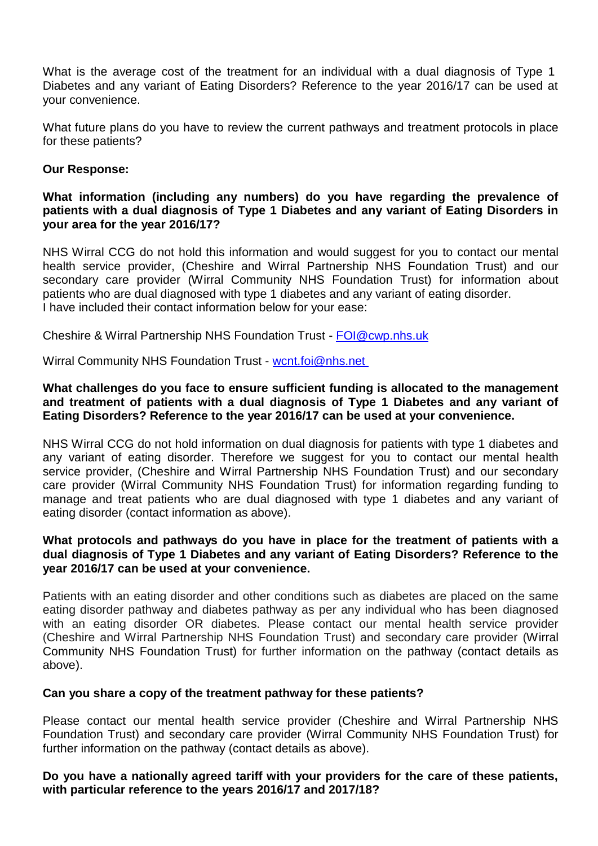What is the average cost of the treatment for an individual with a dual diagnosis of Type 1 Diabetes and any variant of Eating Disorders? Reference to the year 2016/17 can be used at your convenience.

What future plans do you have to review the current pathways and treatment protocols in place for these patients?

# **Our Response:**

# **What information (including any numbers) do you have regarding the prevalence of patients with a dual diagnosis of Type 1 Diabetes and any variant of Eating Disorders in your area for the year 2016/17?**

NHS Wirral CCG do not hold this information and would suggest for you to contact our mental health service provider, (Cheshire and Wirral Partnership NHS Foundation Trust) and our secondary care provider (Wirral Community NHS Foundation Trust) for information about patients who are dual diagnosed with type 1 diabetes and any variant of eating disorder. I have included their contact information below for your ease:

Cheshire & Wirral Partnership NHS Foundation Trust - [FOI@cwp.nhs.uk](mailto:FOI@cwp.nhs.uk)

Wirral Community NHS Foundation Trust - [wcnt.foi@nhs.net](mailto:wcnt.foi@nhs.net)

# **What challenges do you face to ensure sufficient funding is allocated to the management and treatment of patients with a dual diagnosis of Type 1 Diabetes and any variant of Eating Disorders? Reference to the year 2016/17 can be used at your convenience.**

NHS Wirral CCG do not hold information on dual diagnosis for patients with type 1 diabetes and any variant of eating disorder. Therefore we suggest for you to contact our mental health service provider, (Cheshire and Wirral Partnership NHS Foundation Trust) and our secondary care provider (Wirral Community NHS Foundation Trust) for information regarding funding to manage and treat patients who are dual diagnosed with type 1 diabetes and any variant of eating disorder (contact information as above).

# **What protocols and pathways do you have in place for the treatment of patients with a dual diagnosis of Type 1 Diabetes and any variant of Eating Disorders? Reference to the year 2016/17 can be used at your convenience.**

Patients with an eating disorder and other conditions such as diabetes are placed on the same eating disorder pathway and diabetes pathway as per any individual who has been diagnosed with an eating disorder OR diabetes. Please contact our mental health service provider (Cheshire and Wirral Partnership NHS Foundation Trust) and secondary care provider (Wirral Community NHS Foundation Trust) for further information on the pathway (contact details as above).

#### **Can you share a copy of the treatment pathway for these patients?**

Please contact our mental health service provider (Cheshire and Wirral Partnership NHS Foundation Trust) and secondary care provider (Wirral Community NHS Foundation Trust) for further information on the pathway (contact details as above).

## **Do you have a nationally agreed tariff with your providers for the care of these patients, with particular reference to the years 2016/17 and 2017/18?**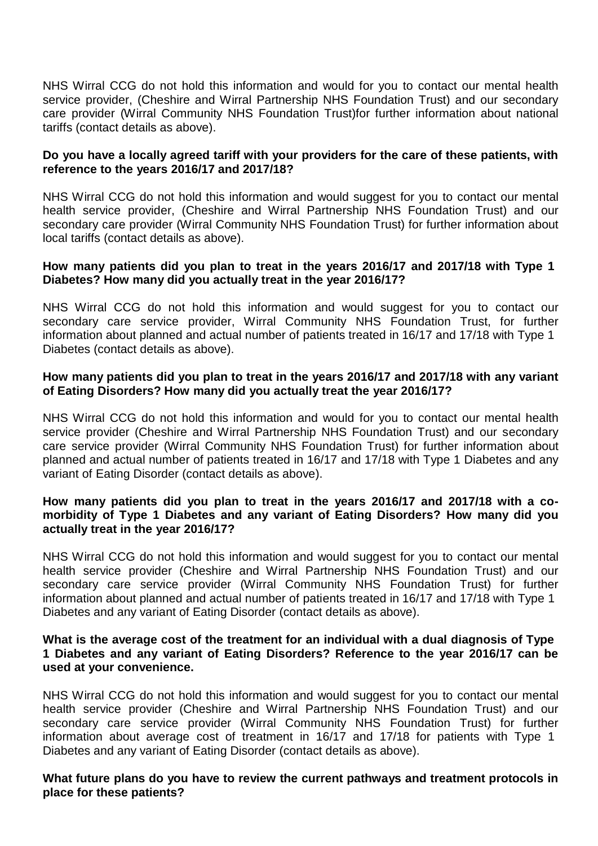NHS Wirral CCG do not hold this information and would for you to contact our mental health service provider, (Cheshire and Wirral Partnership NHS Foundation Trust) and our secondary care provider (Wirral Community NHS Foundation Trust)for further information about national tariffs (contact details as above).

# **Do you have a locally agreed tariff with your providers for the care of these patients, with reference to the years 2016/17 and 2017/18?**

NHS Wirral CCG do not hold this information and would suggest for you to contact our mental health service provider, (Cheshire and Wirral Partnership NHS Foundation Trust) and our secondary care provider (Wirral Community NHS Foundation Trust) for further information about local tariffs (contact details as above).

## **How many patients did you plan to treat in the years 2016/17 and 2017/18 with Type 1 Diabetes? How many did you actually treat in the year 2016/17?**

NHS Wirral CCG do not hold this information and would suggest for you to contact our secondary care service provider, Wirral Community NHS Foundation Trust, for further information about planned and actual number of patients treated in 16/17 and 17/18 with Type 1 Diabetes (contact details as above).

# **How many patients did you plan to treat in the years 2016/17 and 2017/18 with any variant of Eating Disorders? How many did you actually treat the year 2016/17?**

NHS Wirral CCG do not hold this information and would for you to contact our mental health service provider (Cheshire and Wirral Partnership NHS Foundation Trust) and our secondary care service provider (Wirral Community NHS Foundation Trust) for further information about planned and actual number of patients treated in 16/17 and 17/18 with Type 1 Diabetes and any variant of Eating Disorder (contact details as above).

# **How many patients did you plan to treat in the years 2016/17 and 2017/18 with a comorbidity of Type 1 Diabetes and any variant of Eating Disorders? How many did you actually treat in the year 2016/17?**

NHS Wirral CCG do not hold this information and would suggest for you to contact our mental health service provider (Cheshire and Wirral Partnership NHS Foundation Trust) and our secondary care service provider (Wirral Community NHS Foundation Trust) for further information about planned and actual number of patients treated in 16/17 and 17/18 with Type 1 Diabetes and any variant of Eating Disorder (contact details as above).

#### **What is the average cost of the treatment for an individual with a dual diagnosis of Type 1 Diabetes and any variant of Eating Disorders? Reference to the year 2016/17 can be used at your convenience.**

NHS Wirral CCG do not hold this information and would suggest for you to contact our mental health service provider (Cheshire and Wirral Partnership NHS Foundation Trust) and our secondary care service provider (Wirral Community NHS Foundation Trust) for further information about average cost of treatment in 16/17 and 17/18 for patients with Type 1 Diabetes and any variant of Eating Disorder (contact details as above).

## **What future plans do you have to review the current pathways and treatment protocols in place for these patients?**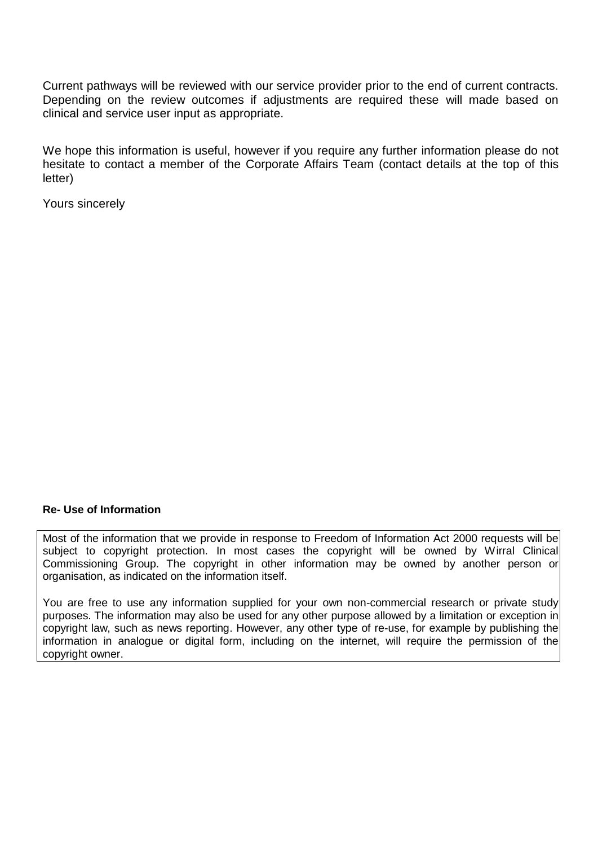Current pathways will be reviewed with our service provider prior to the end of current contracts. Depending on the review outcomes if adjustments are required these will made based on clinical and service user input as appropriate.

We hope this information is useful, however if you require any further information please do not hesitate to contact a member of the Corporate Affairs Team (contact details at the top of this letter)

Yours sincerely

# **Re- Use of Information**

Most of the information that we provide in response to Freedom of Information Act 2000 requests will be subject to copyright protection. In most cases the copyright will be owned by Wirral Clinical Commissioning Group. The copyright in other information may be owned by another person or organisation, as indicated on the information itself.

You are free to use any information supplied for your own non-commercial research or private study purposes. The information may also be used for any other purpose allowed by a limitation or exception in copyright law, such as news reporting. However, any other type of re-use, for example by publishing the information in analogue or digital form, including on the internet, will require the permission of the copyright owner.